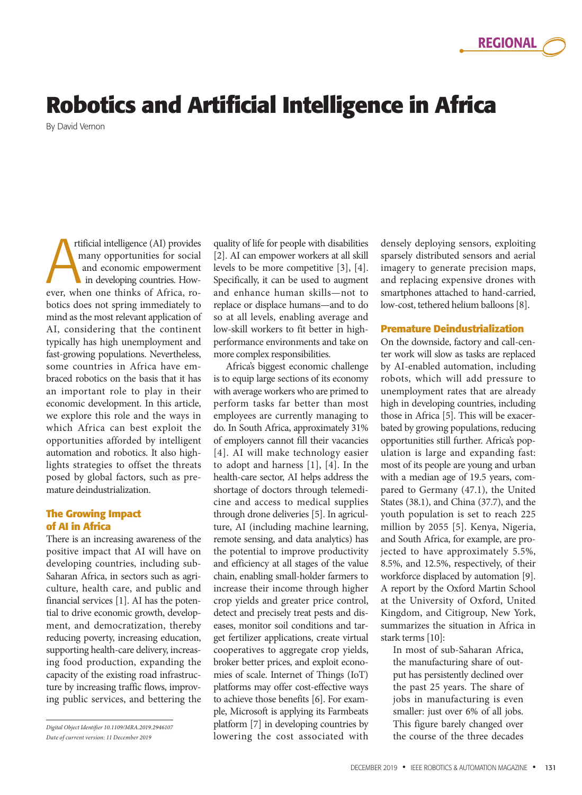# **Robotics and Artificial Intelligence in Africa**

By David Vernon

rtificial intelligence (AI) provides many opportunities for social and economic empowerment in developing countries. Howrtificial intelligence (AI) provides<br>many opportunities for social<br>and economic empowerment<br>in developing countries. How-<br>ever, when one thinks of Africa, robotics does not spring immediately to mind as the most relevant application of AI, considering that the continent typically has high unemployment and fast-growing populations. Nevertheless, some countries in Africa have embraced robotics on the basis that it has an important role to play in their economic development. In this article, we explore this role and the ways in which Africa can best exploit the opportunities afforded by intelligent automation and robotics. It also highlights strategies to offset the threats posed by global factors, such as premature deindustrialization.

# **The Growing Impact of AI in Africa**

There is an increasing awareness of the positive impact that AI will have on developing countries, including sub-Saharan Africa, in sectors such as agriculture, health care, and public and financial services [1]. AI has the potential to drive economic growth, development, and democratization, thereby reducing poverty, increasing education, supporting health-care delivery, increasing food production, expanding the capacity of the existing road infrastructure by increasing traffic flows, improving public services, and bettering the

*Digital Object Identifier 10.1109/MRA.2019.2946107 Date of current version: 11 December 2019*

quality of life for people with disabilities [2]. AI can empower workers at all skill levels to be more competitive [3], [4]. Specifically, it can be used to augment and enhance human skills—not to replace or displace humans—and to do so at all levels, enabling average and low-skill workers to fit better in highperformance environments and take on more complex responsibilities.

Africa's biggest economic challenge is to equip large sections of its economy with average workers who are primed to perform tasks far better than most employees are currently managing to do. In South Africa, approximately 31% of employers cannot fill their vacancies [4]. AI will make technology easier to adopt and harness [1], [4]. In the health-care sector, AI helps address the shortage of doctors through telemedicine and access to medical supplies through drone deliveries [5]. In agriculture, AI (including machine learning, remote sensing, and data analytics) has the potential to improve productivity and efficiency at all stages of the value chain, enabling small-holder farmers to increase their income through higher crop yields and greater price control, detect and precisely treat pests and diseases, monitor soil conditions and target fertilizer applications, create virtual cooperatives to aggregate crop yields, broker better prices, and exploit economies of scale. Internet of Things (IoT) platforms may offer cost-effective ways to achieve those benefits [6]. For example, Microsoft is applying its Farmbeats platform [7] in developing countries by lowering the cost associated with densely deploying sensors, exploiting sparsely distributed sensors and aerial imagery to generate precision maps, and replacing expensive drones with smartphones attached to hand-carried, low-cost, tethered helium balloons [8].

#### **Premature Deindustrialization**

On the downside, factory and call-center work will slow as tasks are replaced by AI-enabled automation, including robots, which will add pressure to unemployment rates that are already high in developing countries, including those in Africa [5]. This will be exacerbated by growing populations, reducing opportunities still further. Africa's population is large and expanding fast: most of its people are young and urban with a median age of 19.5 years, compared to Germany (47.1), the United States (38.1), and China (37.7), and the youth population is set to reach 225 million by 2055 [5]. Kenya, Nigeria, and South Africa, for example, are projected to have approximately 5.5%, 8.5%, and 12.5%, respectively, of their workforce displaced by automation [9]. A report by the Oxford Martin School at the University of Oxford, United Kingdom, and Citigroup, New York, summarizes the situation in Africa in stark terms [10]:

In most of sub-Saharan Africa, the manufacturing share of output has persistently declined over the past 25 years. The share of jobs in manufacturing is even smaller: just over 6% of all jobs. This figure barely changed over the course of the three decades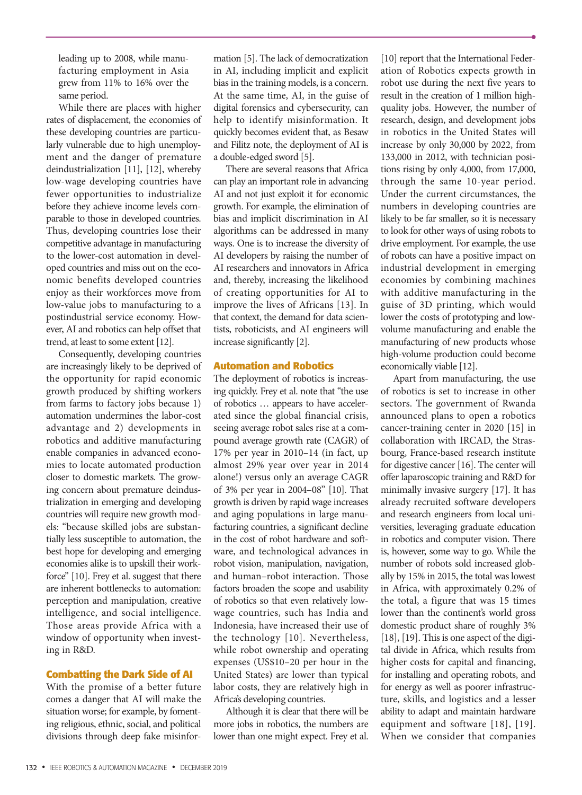leading up to 2008, while manufacturing employment in Asia grew from 11% to 16% over the same period.

While there are places with higher rates of displacement, the economies of these developing countries are particularly vulnerable due to high unemployment and the danger of premature deindustrialization [11], [12], whereby low-wage developing countries have fewer opportunities to industrialize before they achieve income levels comparable to those in developed countries. Thus, developing countries lose their competitive advantage in manufacturing to the lower-cost automation in developed countries and miss out on the economic benefits developed countries enjoy as their workforces move from low-value jobs to manufacturing to a postindustrial service economy. However, AI and robotics can help offset that trend, at least to some extent [12].

Consequently, developing countries are increasingly likely to be deprived of the opportunity for rapid economic growth produced by shifting workers from farms to factory jobs because 1) automation undermines the labor-cost advantage and 2) developments in robotics and additive manufacturing enable companies in advanced economies to locate automated production closer to domestic markets. The growing concern about premature deindustrialization in emerging and developing countries will require new growth models: "because skilled jobs are substantially less susceptible to automation, the best hope for developing and emerging economies alike is to upskill their workforce" [10]. Frey et al. suggest that there are inherent bottlenecks to automation: perception and manipulation, creative intelligence, and social intelligence. Those areas provide Africa with a window of opportunity when investing in R&D.

#### **Combatting the Dark Side of AI**

With the promise of a better future comes a danger that AI will make the situation worse; for example, by fomenting religious, ethnic, social, and political divisions through deep fake misinformation [5]. The lack of democratization in AI, including implicit and explicit bias in the training models, is a concern. At the same time, AI, in the guise of digital forensics and cybersecurity, can help to identify misinformation. It quickly becomes evident that, as Besaw and Filitz note, the deployment of AI is a double-edged sword [5].

There are several reasons that Africa can play an important role in advancing AI and not just exploit it for economic growth. For example, the elimination of bias and implicit discrimination in AI algorithms can be addressed in many ways. One is to increase the diversity of AI developers by raising the number of AI researchers and innovators in Africa and, thereby, increasing the likelihood of creating opportunities for AI to improve the lives of Africans [13]. In that context, the demand for data scientists, roboticists, and AI engineers will increase significantly [2].

# **Automation and Robotics**

The deployment of robotics is increasing quickly. Frey et al. note that "the use of robotics … appears to have accelerated since the global financial crisis, seeing average robot sales rise at a compound average growth rate (CAGR) of 17% per year in 2010–14 (in fact, up almost 29% year over year in 2014 alone!) versus only an average CAGR of 3% per year in 2004–08" [10]. That growth is driven by rapid wage increases and aging populations in large manufacturing countries, a significant decline in the cost of robot hardware and software, and technological advances in robot vision, manipulation, navigation, and human–robot interaction. Those factors broaden the scope and usability of robotics so that even relatively lowwage countries, such has India and Indonesia, have increased their use of the technology [10]. Nevertheless, while robot ownership and operating expenses (US\$10–20 per hour in the United States) are lower than typical labor costs, they are relatively high in Africa's developing countries.

Although it is clear that there will be more jobs in robotics, the numbers are lower than one might expect. Frey et al.

[10] report that the International Federation of Robotics expects growth in robot use during the next five years to result in the creation of 1 million highquality jobs. However, the number of research, design, and development jobs in robotics in the United States will increase by only 30,000 by 2022, from 133,000 in 2012, with technician positions rising by only 4,000, from 17,000, through the same 10-year period. Under the current circumstances, the numbers in developing countries are likely to be far smaller, so it is necessary to look for other ways of using robots to drive employment. For example, the use of robots can have a positive impact on industrial development in emerging economies by combining machines with additive manufacturing in the guise of 3D printing, which would lower the costs of prototyping and lowvolume manufacturing and enable the manufacturing of new products whose high-volume production could become economically viable [12].

Apart from manufacturing, the use of robotics is set to increase in other sectors. The government of Rwanda announced plans to open a robotics cancer-training center in 2020 [15] in collaboration with IRCAD, the Strasbourg, France-based research institute for digestive cancer [16]. The center will offer laparoscopic training and R&D for minimally invasive surgery [17]. It has already recruited software developers and research engineers from local universities, leveraging graduate education in robotics and computer vision. There is, however, some way to go. While the number of robots sold increased globally by 15% in 2015, the total was lowest in Africa, with approximately 0.2% of the total, a figure that was 15 times lower than the continent's world gross domestic product share of roughly 3% [18], [19]. This is one aspect of the digital divide in Africa, which results from higher costs for capital and financing, for installing and operating robots, and for energy as well as poorer infrastructure, skills, and logistics and a lesser ability to adapt and maintain hardware equipment and software [18], [19]. When we consider that companies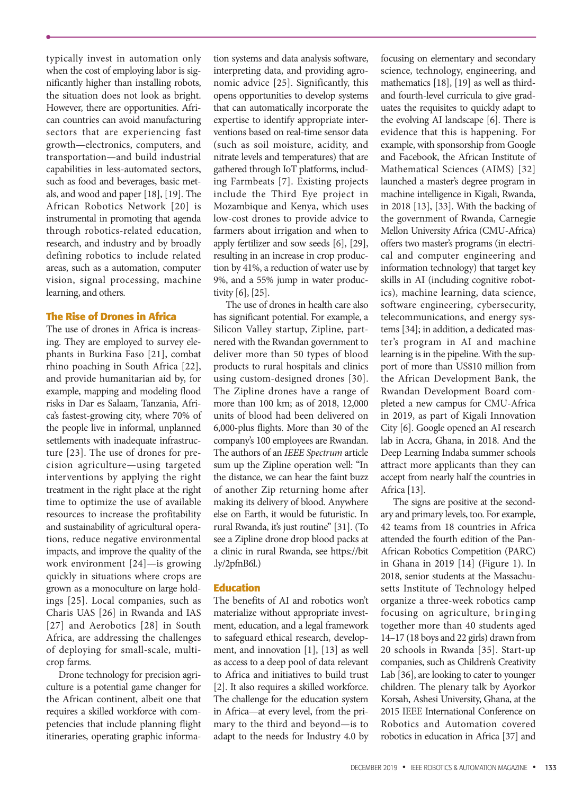typically invest in automation only when the cost of employing labor is significantly higher than installing robots, the situation does not look as bright. However, there are opportunities. African countries can avoid manufacturing sectors that are experiencing fast growth—electronics, computers, and transportation—and build industrial capabilities in less-automated sectors, such as food and beverages, basic metals, and wood and paper [18], [19]. The African Robotics Network [20] is instrumental in promoting that agenda through robotics-related education, research, and industry and by broadly defining robotics to include related areas, such as a automation, computer vision, signal processing, machine learning, and others.

## **The Rise of Drones in Africa**

The use of drones in Africa is increasing. They are employed to survey elephants in Burkina Faso [21], combat rhino poaching in South Africa [22], and provide humanitarian aid by, for example, mapping and modeling flood risks in Dar es Salaam, Tanzania, Africa's fastest-growing city, where 70% of the people live in informal, unplanned settlements with inadequate infrastructure [23]. The use of drones for precision agriculture—using targeted interventions by applying the right treatment in the right place at the right time to optimize the use of available resources to increase the profitability and sustainability of agricultural operations, reduce negative environmental impacts, and improve the quality of the work environment [24]—is growing quickly in situations where crops are grown as a monoculture on large holdings [25]. Local companies, such as Charis UAS [26] in Rwanda and IAS [27] and Aerobotics [28] in South Africa, are addressing the challenges of deploying for small-scale, multicrop farms.

Drone technology for precision agriculture is a potential game changer for the African continent, albeit one that requires a skilled workforce with competencies that include planning flight itineraries, operating graphic information systems and data analysis software, interpreting data, and providing agronomic advice [25]. Significantly, this opens opportunities to develop systems that can automatically incorporate the expertise to identify appropriate interventions based on real-time sensor data (such as soil moisture, acidity, and nitrate levels and temperatures) that are gathered through IoT platforms, including Farmbeats [7]. Existing projects include the Third Eye project in Mozambique and Kenya, which uses low-cost drones to provide advice to farmers about irrigation and when to apply fertilizer and sow seeds [6], [29], resulting in an increase in crop production by 41%, a reduction of water use by 9%, and a 55% jump in water productivity [6], [25].

The use of drones in health care also has significant potential. For example, a Silicon Valley startup, Zipline, partnered with the Rwandan government to deliver more than 50 types of blood products to rural hospitals and clinics using custom-designed drones [30]. The Zipline drones have a range of more than 100 km; as of 2018, 12,000 units of blood had been delivered on 6,000-plus flights. More than 30 of the company's 100 employees are Rwandan. The authors of an *IEEE Spectrum* article sum up the Zipline operation well: "In the distance, we can hear the faint buzz of another Zip returning home after making its delivery of blood. Anywhere else on Earth, it would be futuristic. In rural Rwanda, it's just routine" [31]. (To see a Zipline drone drop blood packs at a clinic in rural Rwanda, see https://bit .ly/2pfnB6l.)

# **Education**

The benefits of AI and robotics won't materialize without appropriate investment, education, and a legal framework to safeguard ethical research, development, and innovation [1], [13] as well as access to a deep pool of data relevant to Africa and initiatives to build trust [2]. It also requires a skilled workforce. The challenge for the education system in Africa—at every level, from the primary to the third and beyond—is to adapt to the needs for Industry 4.0 by

focusing on elementary and secondary science, technology, engineering, and mathematics [18], [19] as well as thirdand fourth-level curricula to give graduates the requisites to quickly adapt to the evolving AI landscape [6]. There is evidence that this is happening. For example, with sponsorship from Google and Facebook, the African Institute of Mathematical Sciences (AIMS) [32] launched a master's degree program in machine intelligence in Kigali, Rwanda, in 2018 [13], [33]. With the backing of the government of Rwanda, Carnegie Mellon University Africa (CMU-Africa) offers two master's programs (in electrical and computer engineering and information technology) that target key skills in AI (including cognitive robotics), machine learning, data science, software engineering, cybersecurity, telecommunications, and energy systems [34]; in addition, a dedicated master's program in AI and machine learning is in the pipeline. With the support of more than US\$10 million from the African Development Bank, the Rwandan Development Board completed a new campus for CMU-Africa in 2019, as part of Kigali Innovation City [6]. Google opened an AI research lab in Accra, Ghana, in 2018. And the Deep Learning Indaba summer schools attract more applicants than they can accept from nearly half the countries in Africa [13].

The signs are positive at the secondary and primary levels, too. For example, 42 teams from 18 countries in Africa attended the fourth edition of the Pan-African Robotics Competition (PARC) in Ghana in 2019 [14] (Figure 1). In 2018, senior students at the Massachusetts Institute of Technology helped organize a three-week robotics camp focusing on agriculture, bringing together more than 40 students aged 14–17 (18 boys and 22 girls) drawn from 20 schools in Rwanda [35]. Start-up companies, such as Children's Creativity Lab [36], are looking to cater to younger children. The plenary talk by Ayorkor Korsah, Ashesi University, Ghana, at the 2015 IEEE International Conference on Robotics and Automation covered robotics in education in Africa [37] and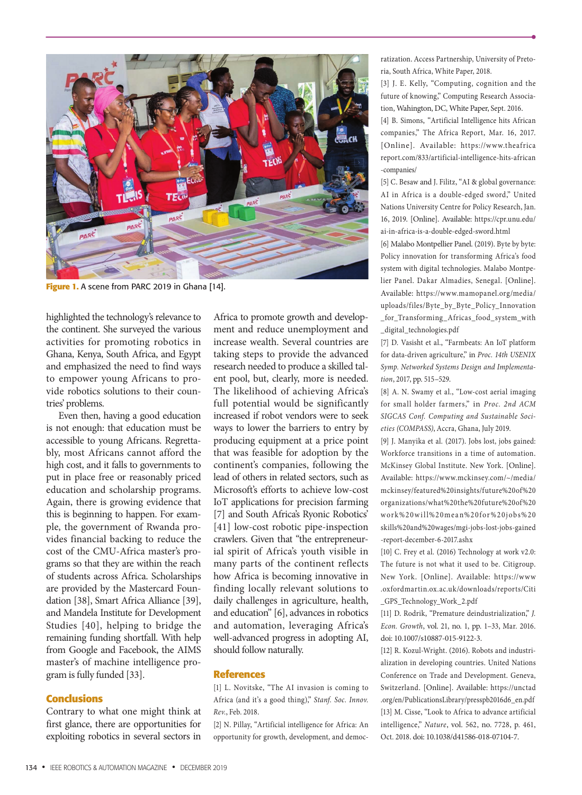

Figure 1. A scene from PARC 2019 in Ghana [14].

highlighted the technology's relevance to the continent. She surveyed the various activities for promoting robotics in Ghana, Kenya, South Africa, and Egypt and emphasized the need to find ways to empower young Africans to provide robotics solutions to their countries' problems.

Even then, having a good education is not enough: that education must be accessible to young Africans. Regrettably, most Africans cannot afford the high cost, and it falls to governments to put in place free or reasonably priced education and scholarship programs. Again, there is growing evidence that this is beginning to happen. For example, the government of Rwanda provides financial backing to reduce the cost of the CMU-Africa master's programs so that they are within the reach of students across Africa. Scholarships are provided by the Mastercard Foundation [38], Smart Africa Alliance [39], and Mandela Institute for Development Studies [40], helping to bridge the remaining funding shortfall. With help from Google and Facebook, the AIMS master's of machine intelligence program is fully funded [33].

#### **Conclusions**

Contrary to what one might think at first glance, there are opportunities for exploiting robotics in several sectors in Africa to promote growth and development and reduce unemployment and increase wealth. Several countries are taking steps to provide the advanced research needed to produce a skilled talent pool, but, clearly, more is needed. The likelihood of achieving Africa's full potential would be significantly increased if robot vendors were to seek ways to lower the barriers to entry by producing equipment at a price point that was feasible for adoption by the continent's companies, following the lead of others in related sectors, such as Microsoft's efforts to achieve low-cost IoT applications for precision farming [7] and South Africa's Ryonic Robotics' [41] low-cost robotic pipe-inspection crawlers. Given that "the entrepreneurial spirit of Africa's youth visible in many parts of the continent reflects how Africa is becoming innovative in finding locally relevant solutions to daily challenges in agriculture, health, and education" [6], advances in robotics and automation, leveraging Africa's well-advanced progress in adopting AI, should follow naturally.

## **References**

[1] L. Novitske, "The AI invasion is coming to Africa (and it's a good thing)," *Stanf. Soc. Innov. Rev.*, Feb. 2018.

[2] N. Pillay, "Artificial intelligence for Africa: An opportunity for growth, development, and democratization. Access Partnership, University of Pretoria, South Africa, White Paper, 2018.

[3] J. E. Kelly, "Computing, cognition and the future of knowing," Computing Research Association, Wahington, DC, White Paper, Sept. 2016.

[4] B. Simons, "Artificial Intelligence hits African companies," The Africa Report, Mar. 16, 2017. [Online]. Available: https://www.theafrica report.com/833/artificial-intelligence-hits-african -companies/

[5] C. Besaw and J. Filitz, "AI & global governance: AI in Africa is a double-edged sword," United Nations University Centre for Policy Research, Jan. 16, 2019. [Online]. Available: https://cpr.unu.edu/ ai-in-africa-is-a-double-edged-sword.html

[6] Malabo Montpellier Panel. (2019). Byte by byte: Policy innovation for transforming Africa's food system with digital technologies. Malabo Montpelier Panel. Dakar Almadies, Senegal. [Online]. Available: https://www.mamopanel.org/media/ uploads/files/Byte\_by\_Byte\_Policy\_Innovation \_for\_Transforming\_Africas\_food\_system\_with \_digital\_technologies.pdf

[7] D. Vasisht et al., "Farmbeats: An IoT platform for data-driven agriculture," in *Proc. 14th USENIX Symp. Networked Systems Design and Implementation*, 2017, pp. 515–529.

[8] A. N. Swamy et al., "Low-cost aerial imaging for small holder farmers," in *Proc. 2nd ACM SIGCAS Conf. Computing and Sustainable Societies (COMPASS)*, Accra, Ghana, July 2019.

[9] J. Manyika et al. (2017). Jobs lost, jobs gained: Workforce transitions in a time of automation. McKinsey Global Institute. New York. [Online]. Available: https://www.mckinsey.com/~/media/ mckinsey/featured%20insights/future%20of%20 organizations/what%20the%20future%20of%20 work%20will%20mean%20for%20jobs%20 skills%20and%20wages/mgi-jobs-lost-jobs-gained -report-december-6-2017.ashx

[10] C. Frey et al. (2016) Technology at work v2.0: The future is not what it used to be. Citigroup. New York. [Online]. Available: https://www .oxfordmartin.ox.ac.uk/downloads/reports/Citi \_GPS\_Technology\_Work\_2.pdf

[11] D. Rodrik, "Premature deindustrialization," *J. Econ. Growth*, vol. 21, no. 1, pp. 1–33, Mar. 2016. doi: 10.1007/s10887-015-9122-3.

[12] R. Kozul-Wright. (2016). Robots and industrialization in developing countries. United Nations Conference on Trade and Development. Geneva, Switzerland. [Online]. Available: https://unctad .org/en/PublicationsLibrary/presspb2016d6\_en.pdf [13] M. Cisse, "Look to Africa to advance artificial intelligence," *Nature*, vol. 562, no. 7728, p. 461, Oct. 2018. doi: 10.1038/d41586-018-07104-7.